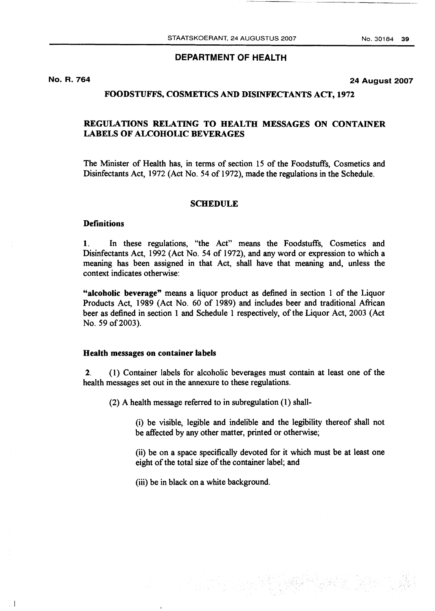## **DEPARTMENT OF HEALTH**

**No. R. 764** 

 $\lesssim 1$ 

**24 August 2007** 

## **FOODSTUFFS, COSMETICS AND DISINFECTANTS ACT, 1972**

# **REGULATIONS RELATING TO HEALTH MESSAGES ON CONTAINER LABELS OF ALCOHOLIC BEVERAGES**

The Minister of Health has, in terms of section 15 of the Foodstuffs, Cosmetics and Disinfectants Act, 1972 (Act No. 54 of 1972), made the regulations in the Schedule.

### **SCHEDULE**

#### **Definitions**

**1.** In these regulations, "the Act" means the Foodstuffs, Cosmetics and Disinfectants Act, 1992 (Act No. 54 of 1972), and any word or expression to which a meaning has been assigned in that Act, shall have that meaning and, unless the context indicates otherwise:

"alcoholic beverage" means a liquor product as defined in section 1 of the Liquor Products Act, 1989 (Act No. 60 of 1989) and includes beer and traditional African beer as defined in section 1 and Schedule 1 respectively, of the Liquor Act, 2003 (Act No. 59 of 2003).

#### **Health messages on container labels**

**2.** (1) Container labels for alcoholic beverages must contain at least one of the health messages set out in the annexure to these regulations.

(2) A health message referred to in subregulation **(1)** shall-

(i) be visible, legible and indelible and the legibility thereof shall not be affected by any other matter, printed or otherwise;

(ii) be on a space specifically devoted for it which must be at least one eight of the total size of the container label; and

(iii) be in black on a white background.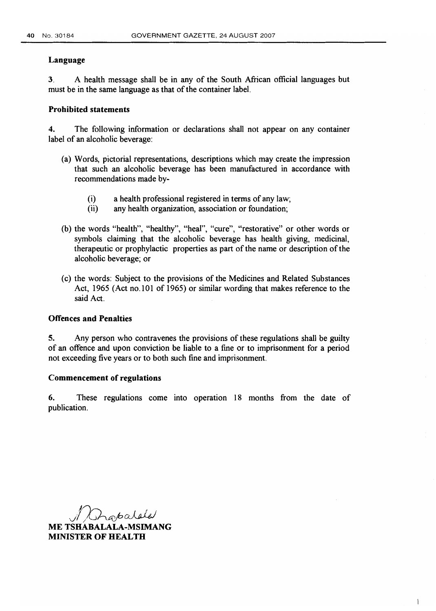#### **Language**

**3.** A health message shall be in any of the South African official languages but must be in the same language as that of the container label.

## **Prohibited statements**

**4.** The following information or declarations shall not appear on any container label of an alcoholic beverage:

- (a) Words, pictorial representations, descriptions which may create the impression that such an alcoholic beverage has been manufactured in accordance with recommendations made by-
	- (i) a health professional registered in terms of any law;<br>(ii) any health organization, association or foundation:
	- any health organization, association or foundation;
- (b) the words "health", "healthy", "heal", "cure", "restorative" or other words or symbols claiming that the alcoholic beverage has health giving, medicinal, therapeutic or prophylactic properties as part of the name or description of the alcoholic beverage; or
- (c) the words: Subject to the provisions of the Medicines and Related Substances Act, 1965 (Act no. 101 of 1965) or similar wording that makes reference to the said Act.

## **Offences and Penalties**

**5.** Any person who contravenes the provisions of these regulations shall be guilty of an offence and upon conviction be liable to a fine or to imprisonment for a period not exceeding five years or to both such fine and imprisonment.

#### **Commencement of regulations**

6. These regulations come into operation 18 months from the date of publication.

 $\overline{\phantom{a}}$ 

Lapalde

**ME TSHABALALA-MSIMANG MINISTER OF HEALTH**